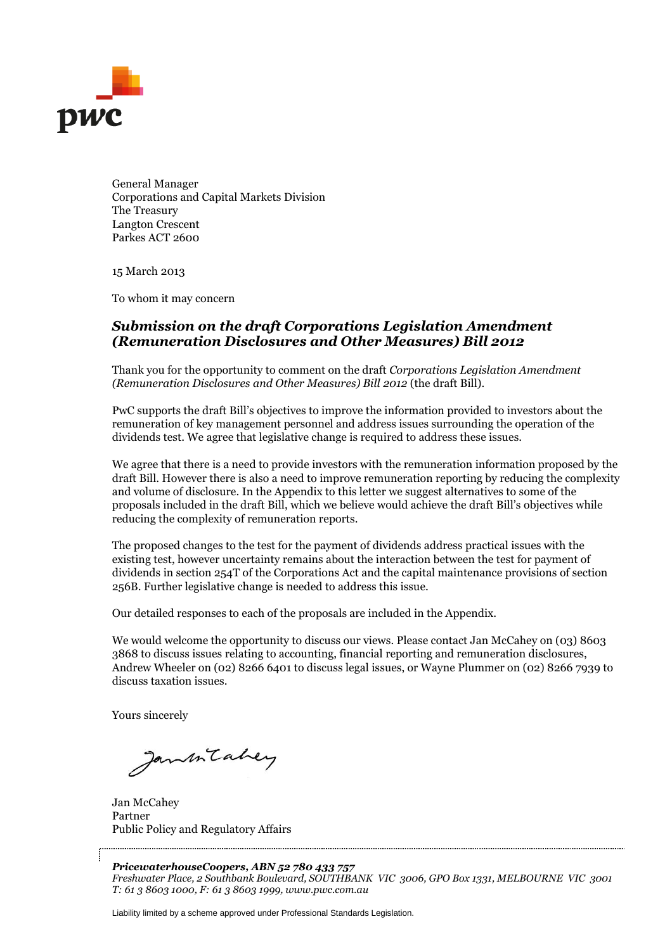

General Manager Corporations and Capital Markets Division The Treasury Langton Crescent Parkes ACT 2600

15 March 2013

To whom it may concern

# *Submission on the draft Corporations Legislation Amendment (Remuneration Disclosures and Other Measures) Bill 2012*

Thank you for the opportunity to comment on the draft *Corporations Legislation Amendment (Remuneration Disclosures and Other Measures) Bill 2012* (the draft Bill).

PwC supports the draft Bill's objectives to improve the information provided to investors about the remuneration of key management personnel and address issues surrounding the operation of the dividends test. We agree that legislative change is required to address these issues.

We agree that there is a need to provide investors with the remuneration information proposed by the draft Bill. However there is also a need to improve remuneration reporting by reducing the complexity and volume of disclosure. In the Appendix to this letter we suggest alternatives to some of the proposals included in the draft Bill, which we believe would achieve the draft Bill's objectives while reducing the complexity of remuneration reports.

The proposed changes to the test for the payment of dividends address practical issues with the existing test, however uncertainty remains about the interaction between the test for payment of dividends in section 254T of the Corporations Act and the capital maintenance provisions of section 256B. Further legislative change is needed to address this issue.

Our detailed responses to each of the proposals are included in the Appendix.

We would welcome the opportunity to discuss our views. Please contact Jan McCahey on (03) 8603 3868 to discuss issues relating to accounting, financial reporting and remuneration disclosures, Andrew Wheeler on (02) 8266 6401 to discuss legal issues, or Wayne Plummer on (02) 8266 7939 to discuss taxation issues.

Yours sincerely

Janmitabey

Jan McCahey Partner Public Policy and Regulatory Affairs

*PricewaterhouseCoopers, ABN 52 780 433 757 Freshwater Place, 2 Southbank Boulevard, SOUTHBANK VIC 3006, GPO Box 1331, MELBOURNE VIC 3001 T: 61 3 8603 1000, F: 61 3 8603 1999, www.pwc.com.au*

Liability limited by a scheme approved under Professional Standards Legislation.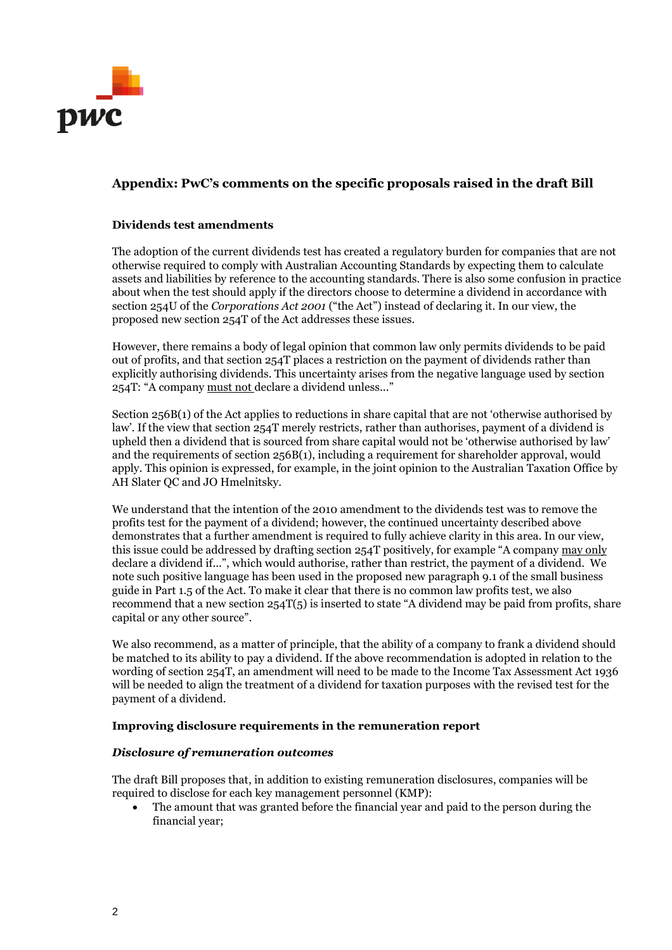

# **Appendix: PwC's comments on the specific proposals raised in the draft Bill**

# **Dividends test amendments**

The adoption of the current dividends test has created a regulatory burden for companies that are not otherwise required to comply with Australian Accounting Standards by expecting them to calculate assets and liabilities by reference to the accounting standards. There is also some confusion in practice about when the test should apply if the directors choose to determine a dividend in accordance with section 254U of the *Corporations Act 2001* ("the Act") instead of declaring it. In our view, the proposed new section 254T of the Act addresses these issues.

However, there remains a body of legal opinion that common law only permits dividends to be paid out of profits, and that section 254T places a restriction on the payment of dividends rather than explicitly authorising dividends. This uncertainty arises from the negative language used by section 254T: "A company must not declare a dividend unless..."

Section 256B(1) of the Act applies to reductions in share capital that are not 'otherwise authorised by law'. If the view that section 254T merely restricts, rather than authorises, payment of a dividend is upheld then a dividend that is sourced from share capital would not be 'otherwise authorised by law' and the requirements of section 256B(1), including a requirement for shareholder approval, would apply. This opinion is expressed, for example, in the joint opinion to the Australian Taxation Office by AH Slater QC and JO Hmelnitsky.

We understand that the intention of the 2010 amendment to the dividends test was to remove the profits test for the payment of a dividend; however, the continued uncertainty described above demonstrates that a further amendment is required to fully achieve clarity in this area. In our view, this issue could be addressed by drafting section 254T positively, for example "A company may only declare a dividend if...", which would authorise, rather than restrict, the payment of a dividend. We note such positive language has been used in the proposed new paragraph 9.1 of the small business guide in Part 1.5 of the Act. To make it clear that there is no common law profits test, we also recommend that a new section  $254T(5)$  is inserted to state "A dividend may be paid from profits, share capital or any other source".

We also recommend, as a matter of principle, that the ability of a company to frank a dividend should be matched to its ability to pay a dividend. If the above recommendation is adopted in relation to the wording of section 254T, an amendment will need to be made to the Income Tax Assessment Act 1936 will be needed to align the treatment of a dividend for taxation purposes with the revised test for the payment of a dividend.

## **Improving disclosure requirements in the remuneration report**

#### *Disclosure of remuneration outcomes*

The draft Bill proposes that, in addition to existing remuneration disclosures, companies will be required to disclose for each key management personnel (KMP):

 The amount that was granted before the financial year and paid to the person during the financial year;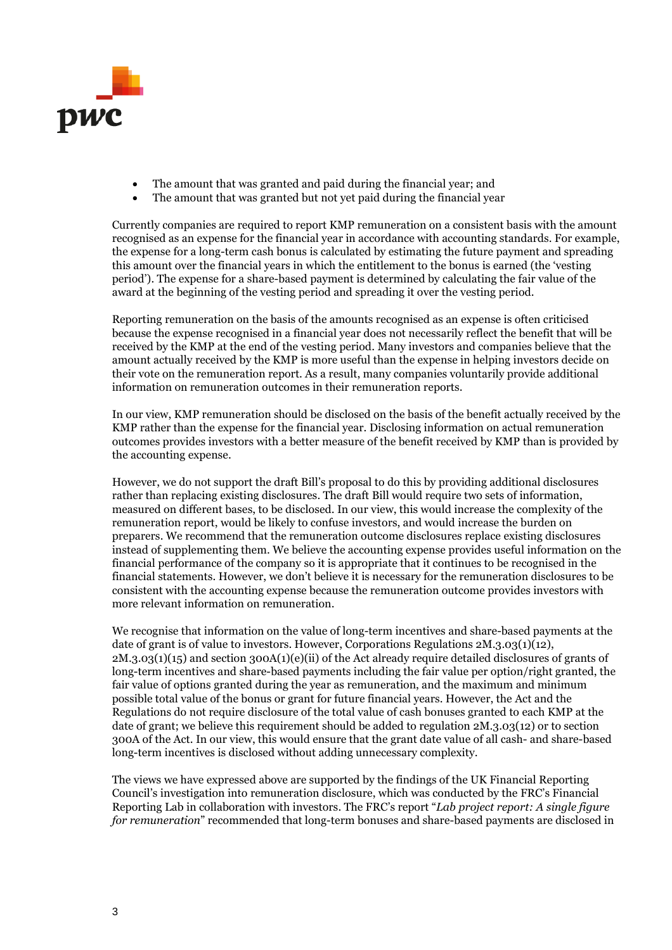

- The amount that was granted and paid during the financial year; and
- The amount that was granted but not yet paid during the financial year

Currently companies are required to report KMP remuneration on a consistent basis with the amount recognised as an expense for the financial year in accordance with accounting standards. For example, the expense for a long-term cash bonus is calculated by estimating the future payment and spreading this amount over the financial years in which the entitlement to the bonus is earned (the 'vesting period'). The expense for a share-based payment is determined by calculating the fair value of the award at the beginning of the vesting period and spreading it over the vesting period.

Reporting remuneration on the basis of the amounts recognised as an expense is often criticised because the expense recognised in a financial year does not necessarily reflect the benefit that will be received by the KMP at the end of the vesting period. Many investors and companies believe that the amount actually received by the KMP is more useful than the expense in helping investors decide on their vote on the remuneration report. As a result, many companies voluntarily provide additional information on remuneration outcomes in their remuneration reports.

In our view, KMP remuneration should be disclosed on the basis of the benefit actually received by the KMP rather than the expense for the financial year. Disclosing information on actual remuneration outcomes provides investors with a better measure of the benefit received by KMP than is provided by the accounting expense.

However, we do not support the draft Bill's proposal to do this by providing additional disclosures rather than replacing existing disclosures. The draft Bill would require two sets of information, measured on different bases, to be disclosed. In our view, this would increase the complexity of the remuneration report, would be likely to confuse investors, and would increase the burden on preparers. We recommend that the remuneration outcome disclosures replace existing disclosures instead of supplementing them. We believe the accounting expense provides useful information on the financial performance of the company so it is appropriate that it continues to be recognised in the financial statements. However, we don't believe it is necessary for the remuneration disclosures to be consistent with the accounting expense because the remuneration outcome provides investors with more relevant information on remuneration.

We recognise that information on the value of long-term incentives and share-based payments at the date of grant is of value to investors. However, Corporations Regulations  $2M.3.03(1)(12)$ , 2M.3.03(1)(15) and section 300A(1)(e)(ii) of the Act already require detailed disclosures of grants of long-term incentives and share-based payments including the fair value per option/right granted, the fair value of options granted during the year as remuneration, and the maximum and minimum possible total value of the bonus or grant for future financial years. However, the Act and the Regulations do not require disclosure of the total value of cash bonuses granted to each KMP at the date of grant; we believe this requirement should be added to regulation 2M.3.03(12) or to section 300A of the Act. In our view, this would ensure that the grant date value of all cash- and share-based long-term incentives is disclosed without adding unnecessary complexity.

The views we have expressed above are supported by the findings of the UK Financial Reporting Council's investigation into remuneration disclosure, which was conducted by the FRC's Financial Reporting Lab in collaboration with investors. The FRC's report "*Lab project report: A single figure for remuneration*" recommended that long-term bonuses and share-based payments are disclosed in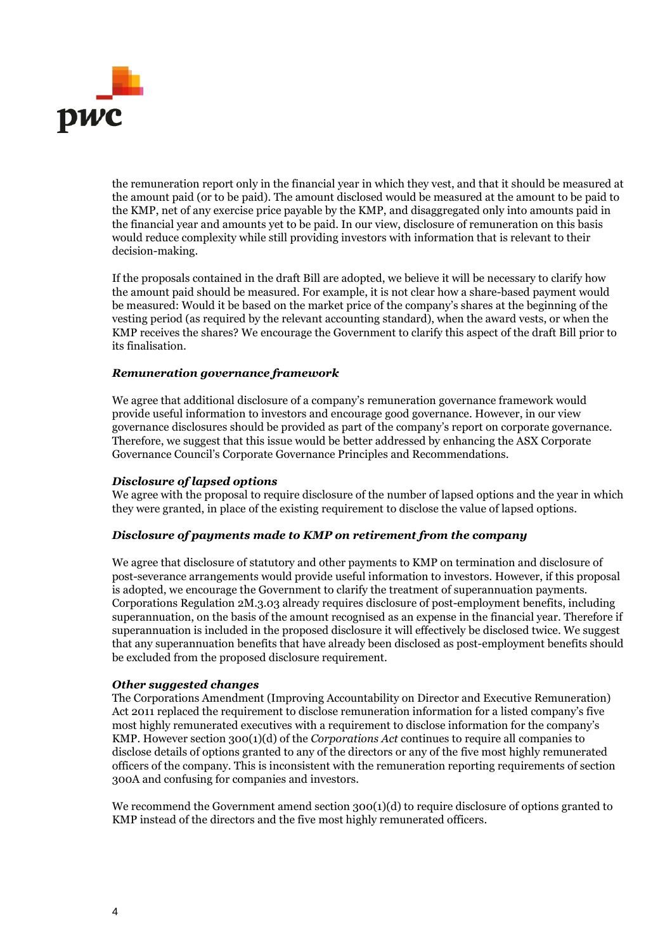

the remuneration report only in the financial year in which they vest, and that it should be measured at the amount paid (or to be paid). The amount disclosed would be measured at the amount to be paid to the KMP, net of any exercise price payable by the KMP, and disaggregated only into amounts paid in the financial year and amounts yet to be paid. In our view, disclosure of remuneration on this basis would reduce complexity while still providing investors with information that is relevant to their decision-making.

If the proposals contained in the draft Bill are adopted, we believe it will be necessary to clarify how the amount paid should be measured. For example, it is not clear how a share-based payment would be measured: Would it be based on the market price of the company's shares at the beginning of the vesting period (as required by the relevant accounting standard), when the award vests, or when the KMP receives the shares? We encourage the Government to clarify this aspect of the draft Bill prior to its finalisation.

#### *Remuneration governance framework*

We agree that additional disclosure of a company's remuneration governance framework would provide useful information to investors and encourage good governance. However, in our view governance disclosures should be provided as part of the company's report on corporate governance. Therefore, we suggest that this issue would be better addressed by enhancing the ASX Corporate Governance Council's Corporate Governance Principles and Recommendations.

#### *Disclosure of lapsed options*

We agree with the proposal to require disclosure of the number of lapsed options and the year in which they were granted, in place of the existing requirement to disclose the value of lapsed options.

## *Disclosure of payments made to KMP on retirement from the company*

We agree that disclosure of statutory and other payments to KMP on termination and disclosure of post-severance arrangements would provide useful information to investors. However, if this proposal is adopted, we encourage the Government to clarify the treatment of superannuation payments. Corporations Regulation 2M.3.03 already requires disclosure of post-employment benefits, including superannuation, on the basis of the amount recognised as an expense in the financial year. Therefore if superannuation is included in the proposed disclosure it will effectively be disclosed twice. We suggest that any superannuation benefits that have already been disclosed as post-employment benefits should be excluded from the proposed disclosure requirement.

## *Other suggested changes*

The Corporations Amendment (Improving Accountability on Director and Executive Remuneration) Act 2011 replaced the requirement to disclose remuneration information for a listed company's five most highly remunerated executives with a requirement to disclose information for the company's KMP. However section 300(1)(d) of the *Corporations Act* continues to require all companies to disclose details of options granted to any of the directors or any of the five most highly remunerated officers of the company. This is inconsistent with the remuneration reporting requirements of section 300A and confusing for companies and investors.

We recommend the Government amend section 300(1)(d) to require disclosure of options granted to KMP instead of the directors and the five most highly remunerated officers.